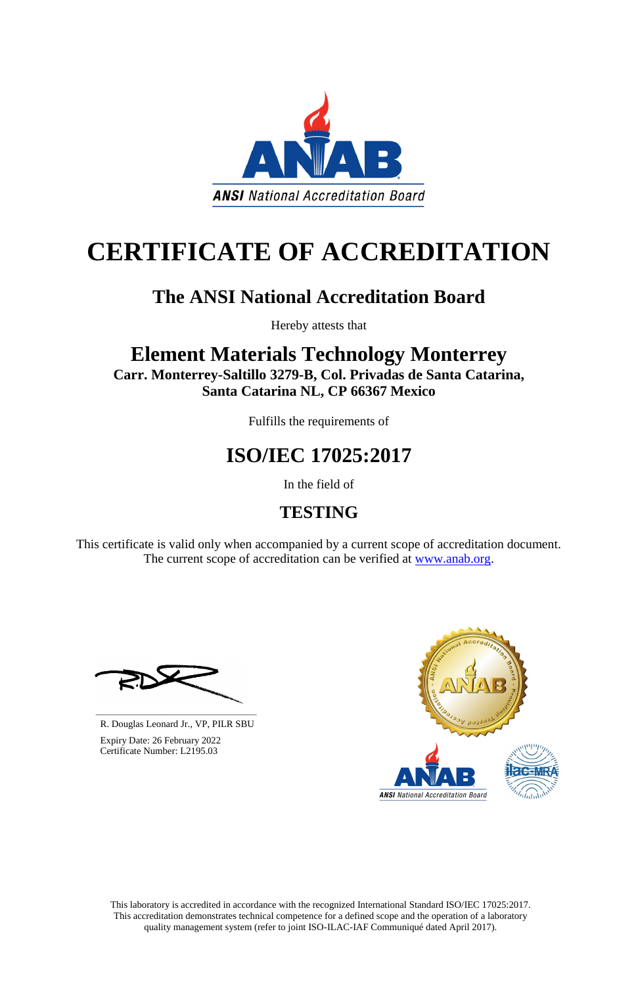This laboratory is accredited in accordance with the recognized International Standard ISO/IEC 17025:2017. This accreditation demonstrates technical competence for a defined scope and the operation of a laboratory quality management system (refer to joint ISO-ILAC-IAF Communiqué dated April 2017).

This certificate is valid only when accompanied by a current scope of accreditation document. The current scope of accreditation can be verified at [www.anab.org.](http://www.anab.org/)





# **CERTIFICATE OF ACCREDITATION**

### **The ANSI National Accreditation Board**

Hereby attests that

### **Element Materials Technology Monterrey Carr. Monterrey-Saltillo 3279-B, Col. Privadas de Santa Catarina, Santa Catarina NL, CP 66367 Mexico**

Fulfills the requirements of

## **ISO/IEC 17025:2017**

In the field of

### **TESTING**

**\_\_\_\_\_\_\_\_\_\_\_\_\_\_\_\_\_\_\_\_\_\_\_\_\_\_\_\_\_\_** R. Douglas Leonard Jr., VP, PILR SBU



 Expiry Date: 26 February 2022 Certificate Number: L2195.03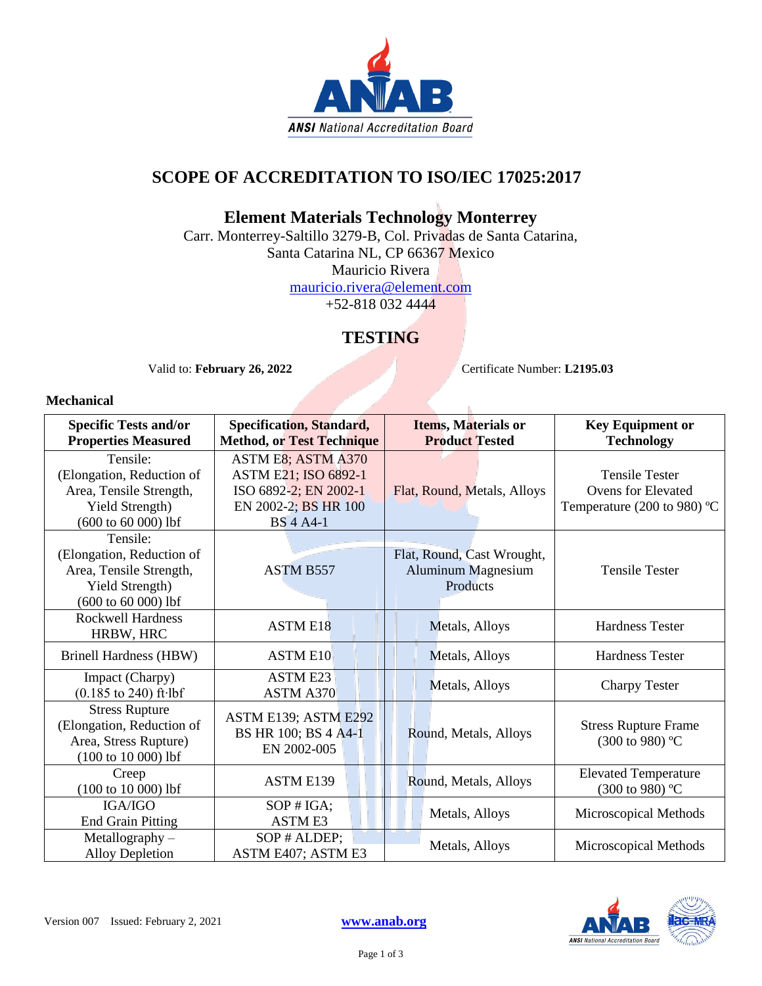

#### **SCOPE OF ACCREDITATION TO ISO/IEC 17025:2017**

#### **Element Materials Technology Monterrey**

Carr. Monterrey-Saltillo 3279-B, Col. Privadas de Santa Catarina, Santa Catarina NL, CP 66367 Mexico Mauricio Rivera [mauricio.rivera@element.com](mailto:mauricio.rivera@element.com) +52-818 032 4444

#### **TESTING**

Valid to: **February 26, 2022** Certificate Number: **L2195.03** 

#### **Mechanical**

| <b>Specific Tests and/or</b><br><b>Properties Measured</b>                                                   | Specification, Standard,<br><b>Method, or Test Technique</b>                                                    | <b>Items, Materials or</b><br><b>Product Tested</b>                 | <b>Key Equipment or</b><br><b>Technology</b>                                      |
|--------------------------------------------------------------------------------------------------------------|-----------------------------------------------------------------------------------------------------------------|---------------------------------------------------------------------|-----------------------------------------------------------------------------------|
| Tensile:<br>(Elongation, Reduction of<br>Area, Tensile Strength,<br>Yield Strength)<br>$(600 to 60 000)$ lbf | ASTM E8; ASTM A370<br>ASTM E21; ISO 6892-1<br>ISO 6892-2; EN 2002-1<br>EN 2002-2; BS HR 100<br><b>BS</b> 4 A4-1 | Flat, Round, Metals, Alloys                                         | <b>Tensile Tester</b><br><b>Ovens for Elevated</b><br>Temperature (200 to 980) °C |
| Tensile:<br>(Elongation, Reduction of<br>Area, Tensile Strength,<br>Yield Strength)<br>$(600 to 60 000)$ lbf | <b>ASTM B557</b>                                                                                                | Flat, Round, Cast Wrought,<br><b>Aluminum Magnesium</b><br>Products | <b>Tensile Tester</b>                                                             |
| <b>Rockwell Hardness</b><br>HRBW, HRC                                                                        | <b>ASTM E18</b>                                                                                                 | Metals, Alloys                                                      | <b>Hardness Tester</b>                                                            |
| <b>Brinell Hardness (HBW)</b>                                                                                | <b>ASTM E10</b>                                                                                                 | Metals, Alloys                                                      | <b>Hardness Tester</b>                                                            |
| Impact (Charpy)<br>$(0.185 \text{ to } 240) \text{ ft·lbf}$                                                  | <b>ASTM E23</b><br><b>ASTM A370</b>                                                                             | Metals, Alloys                                                      | <b>Charpy Tester</b>                                                              |
| <b>Stress Rupture</b><br>(Elongation, Reduction of<br>Area, Stress Rupture)<br>$(100 to 10 000)$ lbf         | ASTM E139; ASTM E292<br>BS HR 100; BS 4 A4-1<br>EN 2002-005                                                     | Round, Metals, Alloys                                               | <b>Stress Rupture Frame</b><br>$(300 \text{ to } 980)$ °C                         |
| Creep<br>$(100 to 10 000)$ lbf                                                                               | <b>ASTM E139</b>                                                                                                | Round, Metals, Alloys                                               | <b>Elevated Temperature</b><br>$(300 \text{ to } 980)$ °C                         |
| IGA/IGO<br><b>End Grain Pitting</b>                                                                          | $SOP$ # $IGA$ ;<br><b>ASTME3</b>                                                                                | Metals, Alloys                                                      | Microscopical Methods                                                             |
| Metallography-<br><b>Alloy Depletion</b>                                                                     | SOP # ALDEP;<br>ASTM E407; ASTM E3                                                                              | Metals, Alloys                                                      | Microscopical Methods                                                             |

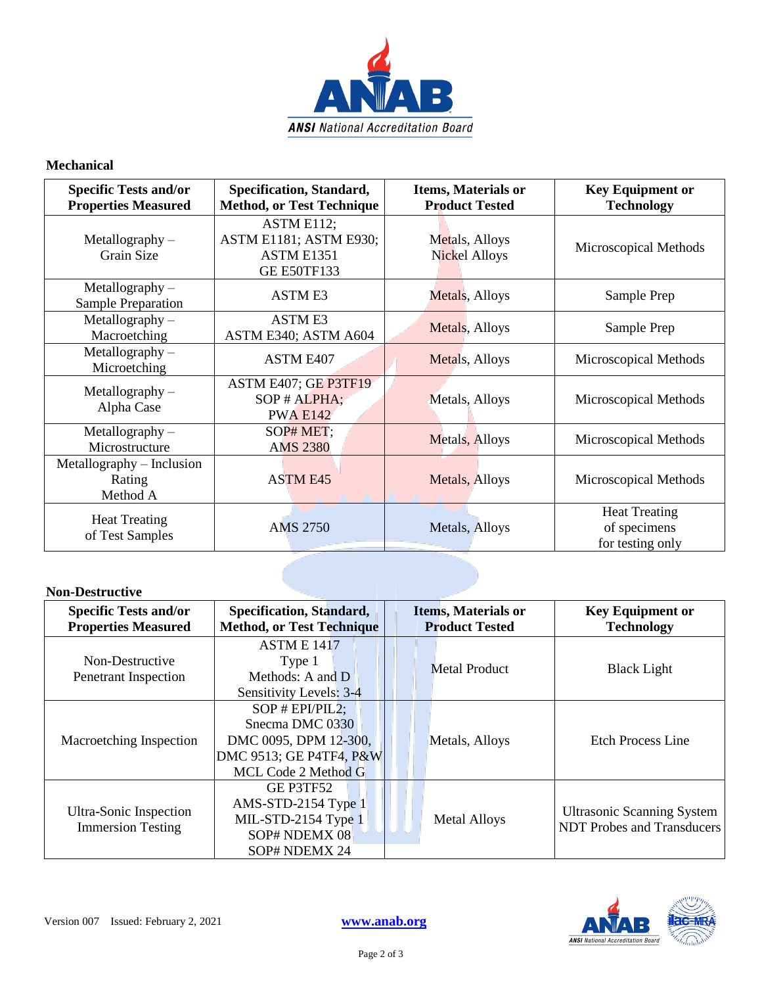

#### **Mechanical**

| <b>Specific Tests and/or</b><br><b>Properties Measured</b> | Specification, Standard,<br><b>Method, or Test Technique</b>                    | <b>Items, Materials or</b><br><b>Product Tested</b> | <b>Key Equipment or</b><br><b>Technology</b>             |
|------------------------------------------------------------|---------------------------------------------------------------------------------|-----------------------------------------------------|----------------------------------------------------------|
| $Metallography -$<br>Grain Size                            | ASTM E112;<br>ASTM E1181; ASTM E930;<br><b>ASTM E1351</b><br><b>GE E50TF133</b> | Metals, Alloys<br>Nickel Alloys                     | Microscopical Methods                                    |
| $Metallography -$<br>Sample Preparation                    | <b>ASTME3</b>                                                                   | Metals, Alloys                                      | Sample Prep                                              |
| $Metallography -$<br>Macroetching                          | <b>ASTME3</b><br>ASTM E340; ASTM A604                                           | Metals, Alloys                                      | Sample Prep                                              |
| $Metallography -$<br>Microetching                          | <b>ASTM E407</b>                                                                | Metals, Alloys                                      | Microscopical Methods                                    |
| $Metallography -$<br>Alpha Case                            | ASTM E407; GE P3TF19<br>SOP # ALPHA;<br><b>PWA E142</b>                         | Metals, Alloys                                      | Microscopical Methods                                    |
| $Metallography -$<br>Microstructure                        | SOP# MET;<br><b>AMS 2380</b>                                                    | Metals, Alloys                                      | Microscopical Methods                                    |
| Metallography – Inclusion<br>Rating<br>Method A            | <b>ASTM E45</b>                                                                 | Metals, Alloys                                      | Microscopical Methods                                    |
| <b>Heat Treating</b><br>of Test Samples                    | <b>AMS 2750</b>                                                                 | Metals, Alloys                                      | <b>Heat Treating</b><br>of specimens<br>for testing only |

#### **Non-Destructive**

| <b>Specific Tests and/or</b><br><b>Properties Measured</b> | Specification, Standard,<br><b>Method, or Test Technique</b>                                                       | <b>Items, Materials or</b><br><b>Product Tested</b> | <b>Key Equipment or</b><br><b>Technology</b>                    |
|------------------------------------------------------------|--------------------------------------------------------------------------------------------------------------------|-----------------------------------------------------|-----------------------------------------------------------------|
| Non-Destructive<br>Penetrant Inspection                    | <b>ASTM E 1417</b><br>Type 1<br>Methods: A and D<br>Sensitivity Levels: 3-4                                        | <b>Metal Product</b>                                | <b>Black Light</b>                                              |
| Macroetching Inspection                                    | $SOP$ # $EPI/PIL2$ ;<br>Snecma DMC 0330<br>DMC 0095, DPM 12-300,<br>DMC 9513; GE P4TF4, P&W<br>MCL Code 2 Method G | Metals, Alloys                                      | <b>Etch Process Line</b>                                        |
| Ultra-Sonic Inspection<br><b>Immersion Testing</b>         | GE P3TF52<br>AMS-STD-2154 Type 1<br>MIL-STD-2154 Type 1<br>SOP# NDEMX 08<br>SOP# NDEMX 24                          | <b>Metal Alloys</b>                                 | <b>Ultrasonic Scanning System</b><br>NDT Probes and Transducers |